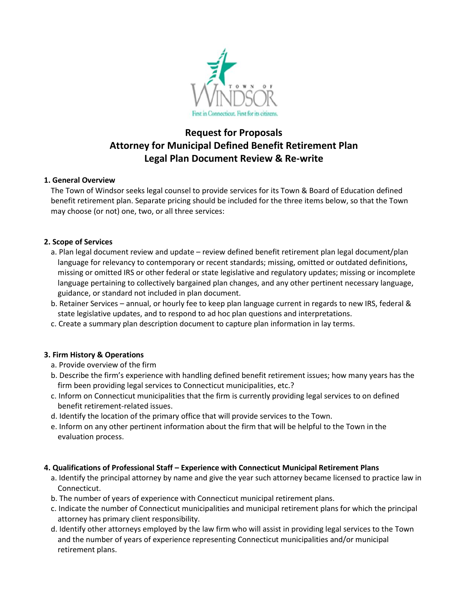

# **Request for Proposals Attorney for Municipal Defined Benefit Retirement Plan Legal Plan Document Review & Re-write**

## **1. General Overview**

The Town of Windsor seeks legal counsel to provide services for its Town & Board of Education defined benefit retirement plan. Separate pricing should be included for the three items below, so that the Town may choose (or not) one, two, or all three services:

## **2. Scope of Services**

- a. Plan legal document review and update review defined benefit retirement plan legal document/plan language for relevancy to contemporary or recent standards; missing, omitted or outdated definitions, missing or omitted IRS or other federal or state legislative and regulatory updates; missing or incomplete language pertaining to collectively bargained plan changes, and any other pertinent necessary language, guidance, or standard not included in plan document.
- b. Retainer Services annual, or hourly fee to keep plan language current in regards to new IRS, federal & state legislative updates, and to respond to ad hoc plan questions and interpretations.
- c. Create a summary plan description document to capture plan information in lay terms.

# **3. Firm History & Operations**

- a. Provide overview of the firm
- b. Describe the firm's experience with handling defined benefit retirement issues; how many years has the firm been providing legal services to Connecticut municipalities, etc.?
- c. Inform on Connecticut municipalities that the firm is currently providing legal services to on defined benefit retirement-related issues.
- d. Identify the location of the primary office that will provide services to the Town.
- e. Inform on any other pertinent information about the firm that will be helpful to the Town in the evaluation process.

#### **4. Qualifications of Professional Staff – Experience with Connecticut Municipal Retirement Plans**

- a. Identify the principal attorney by name and give the year such attorney became licensed to practice law in Connecticut.
- b. The number of years of experience with Connecticut municipal retirement plans.
- c. Indicate the number of Connecticut municipalities and municipal retirement plans for which the principal attorney has primary client responsibility.
- d. Identify other attorneys employed by the law firm who will assist in providing legal services to the Town and the number of years of experience representing Connecticut municipalities and/or municipal retirement plans.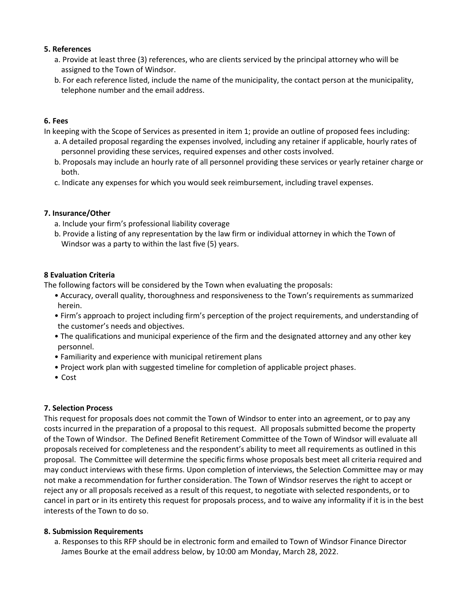## **5. References**

- a. Provide at least three (3) references, who are clients serviced by the principal attorney who will be assigned to the Town of Windsor.
- b. For each reference listed, include the name of the municipality, the contact person at the municipality, telephone number and the email address.

## **6. Fees**

In keeping with the Scope of Services as presented in item 1; provide an outline of proposed fees including:

- a. A detailed proposal regarding the expenses involved, including any retainer if applicable, hourly rates of personnel providing these services, required expenses and other costs involved.
- b. Proposals may include an hourly rate of all personnel providing these services or yearly retainer charge or both.
- c. Indicate any expenses for which you would seek reimbursement, including travel expenses.

# **7. Insurance/Other**

- a. Include your firm's professional liability coverage
- b. Provide a listing of any representation by the law firm or individual attorney in which the Town of Windsor was a party to within the last five (5) years.

## **8 Evaluation Criteria**

The following factors will be considered by the Town when evaluating the proposals:

- Accuracy, overall quality, thoroughness and responsiveness to the Town's requirements as summarized herein.
- Firm's approach to project including firm's perception of the project requirements, and understanding of the customer's needs and objectives.
- The qualifications and municipal experience of the firm and the designated attorney and any other key personnel.
- Familiarity and experience with municipal retirement plans
- Project work plan with suggested timeline for completion of applicable project phases.
- Cost

# **7. Selection Process**

This request for proposals does not commit the Town of Windsor to enter into an agreement, or to pay any costs incurred in the preparation of a proposal to this request. All proposals submitted become the property of the Town of Windsor. The Defined Benefit Retirement Committee of the Town of Windsor will evaluate all proposals received for completeness and the respondent's ability to meet all requirements as outlined in this proposal. The Committee will determine the specific firms whose proposals best meet all criteria required and may conduct interviews with these firms. Upon completion of interviews, the Selection Committee may or may not make a recommendation for further consideration. The Town of Windsor reserves the right to accept or reject any or all proposals received as a result of this request, to negotiate with selected respondents, or to cancel in part or in its entirety this request for proposals process, and to waive any informality if it is in the best interests of the Town to do so.

#### **8. Submission Requirements**

a. Responses to this RFP should be in electronic form and emailed to Town of Windsor Finance Director James Bourke at the email address below, by 10:00 am Monday, March 28, 2022.